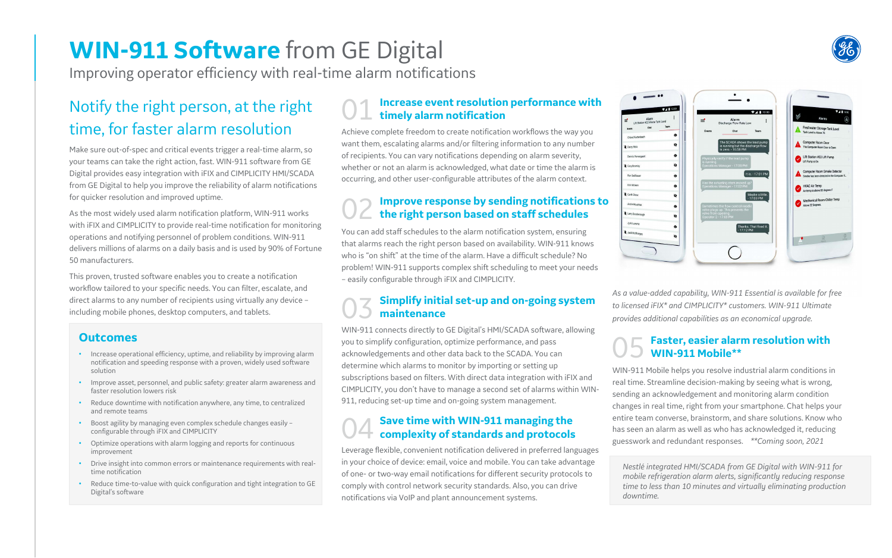## **WIN-911 Software** from GE Digital

Improving operator efficiency with real-time alarm notifications

### Notify the right person, at the right time, for faster alarm resolution

### 01 **Increase event resolution performance with timely alarm notification**

Achieve complete freedom to create notification workflows the way you want them, escalating alarms and/or filtering information to any number of recipients. You can vary notifications depending on alarm severity, whether or not an alarm is acknowledged, what date or time the alarm is occurring, and other user-configurable attributes of the alarm context.

### **Simplify initial set-up and on-going system maintenance**

# 02 **Improve response by sending notifications to the right person based on staff schedules**

You can add staff schedules to the alarm notification system, ensuring that alarms reach the right person based on availability. WIN-911 knows who is "on shift" at the time of the alarm. Have a difficult schedule? No problem! WIN-911 supports complex shift scheduling to meet your needs – easily configurable through iFIX and CIMPLICITY.

WIN-911 connects directly to GE Digital's HMI/SCADA software, allowing you to simplify configuration, optimize performance, and pass acknowledgements and other data back to the SCADA. You can determine which alarms to monitor by importing or setting up subscriptions based on filters. With direct data integration with iFIX and CIMPLICITY, you don't have to manage a second set of alarms within WIN-911, reducing set-up time and on-going system management.

## 05 **Faster, easier alarm resolution with**

**WIN-911 Mobile\*\*** WIN-911 Mobile helps you resolve industrial alarm conditions in real time. Streamline decision-making by seeing what is wrong, sending an acknowledgement and monitoring alarm condition changes in real time, right from your smartphone. Chat helps your entire team converse, brainstorm, and share solutions. Know who has seen an alarm as well as who has acknowledged it, reducing guesswork and redundant responses. *\*\*Coming soon, 2021*





### **Outcomes**

- Increase operational efficiency, uptime, and reliability by improving alarm notification and speeding response with a proven, widely used software solution
- Improve asset, personnel, and public safety: greater alarm awareness and faster resolution lowers risk
- Reduce downtime with notification anywhere, any time, to centralized and remote teams
- Boost agility by managing even complex schedule changes easily configurable through iFIX and CIMPLICITY
- Optimize operations with alarm logging and reports for continuous improvement
- Drive insight into common errors or maintenance requirements with realtime notification
- Reduce time-to-value with quick configuration and tight integration to GE Digital's software

*As a value-added capability, WIN-911 Essential is available for free to licensed iFIX\* and CIMPLICITY\* customers. WIN-911 Ultimate provides additional capabilities as an economical upgrade.*

*Nestlé integrated HMI/SCADA from GE Digital with WIN-911 for mobile refrigeration alarm alerts, significantly reducing response time to less than 10 minutes and virtually eliminating production downtime.*

## 04 **Save time with WIN-911 managing the complexity of standards and protocols**

Leverage flexible, convenient notification delivered in preferred languages in your choice of device: email, voice and mobile. You can take advantage of one- or two-way email notifications for different security protocols to comply with control network security standards. Also, you can drive notifications via VoIP and plant announcement systems.

Make sure out-of-spec and critical events trigger a real-time alarm, so your teams can take the right action, fast. WIN-911 software from GE Digital provides easy integration with iFIX and CIMPLICITY HMI/SCADA from GE Digital to help you improve the reliability of alarm notifications for quicker resolution and improved uptime.

As the most widely used alarm notification platform, WIN-911 works with iFIX and CIMPLICITY to provide real-time notification for monitoring operations and notifying personnel of problem conditions. WIN-911 delivers millions of alarms on a daily basis and is used by 90% of Fortune 50 manufacturers.

This proven, trusted software enables you to create a notification workflow tailored to your specific needs. You can filter, escalate, and direct alarms to any number of recipients using virtually any device – including mobile phones, desktop computers, and tablets.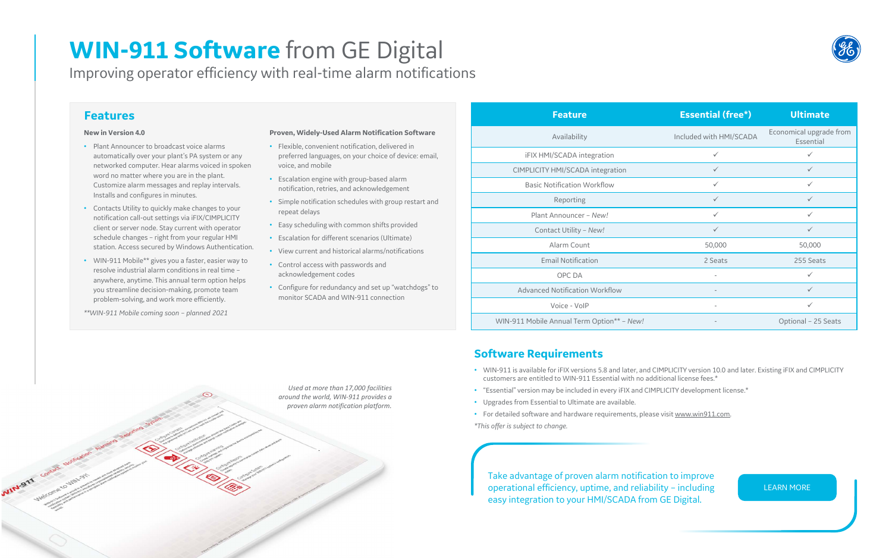### **Features**

#### **New in Version 4.0**

- Plant Announcer to broadcast voice alarms automatically over your plant's PA system or any networked computer. Hear alarms voiced in spoken word no matter where you are in the plant. Customize alarm messages and replay intervals. Installs and configures in minutes.
- Contacts Utility to quickly make changes to your notification call-out settings via iFIX/CIMPLICITY client or server node. Stay current with operator schedule changes – right from your regular HMI station. Access secured by Windows Authentication.
- WIN-911 Mobile\*\* gives you a faster, easier way to resolve industrial alarm conditions in real time – anywhere, anytime. This annual term option helps you streamline decision-making, promote team problem-solving, and work more efficiently.

*\*\*WIN-911 Mobile coming soon – planned 2021*

### **Proven, Widely-Used Alarm Notification Software**

- Flexible, convenient notification, delivered in preferred languages, on your choice of device: email, voice, and mobile
- Escalation engine with group-based alarm notification, retries, and acknowledgement
- Simple notification schedules with group restart and repeat delays
- Easy scheduling with common shifts provided
- Escalation for different scenarios (Ultimate)

- View current and historical alarms/notifications
- Control access with passwords and acknowledgement codes
- Configure for redundancy and set up "watchdogs" to monitor SCADA and WIN-911 connection

### **Software Requirements**

Take advantage of proven alarm notification to improve operational efficiency, uptime, and reliability – including easy integration to your HMI/SCADA from GE Digital.



[LEARN MORE](https://www.ge.com/digital/applications/hmi-scada)

## **WIN-911 Software** from GE Digital

Improving operator efficiency with real-time alarm notifications

• WIN-911 is available for iFIX versions 5.8 and later, and CIMPLICITY version 10.0 and later. Existing iFIX and CIMPLICITY

- customers are entitled to WIN-911 Essential with no additional license fees.\*
- "Essential" version may be included in every iFIX and CIMPLICITY development license.\*
- Upgrades from Essential to Ultimate are available.
- For detailed software and hardware requirements, please visit [www.win911.com.](http://www.win911.com/) *\*This offer is subject to change.*

| <b>Feature</b>                             | <b>Essential (free*)</b> | <b>Ultimate</b>                      |
|--------------------------------------------|--------------------------|--------------------------------------|
| Availability                               | Included with HMI/SCADA  | Economical upgrade from<br>Essential |
| <b>iFIX HMI/SCADA</b> integration          | $\checkmark$             | $\checkmark$                         |
| <b>CIMPLICITY HMI/SCADA integration</b>    | $\checkmark$             | $\checkmark$                         |
| <b>Basic Notification Workflow</b>         | $\checkmark$             | $\checkmark$                         |
| Reporting                                  | $\checkmark$             | $\checkmark$                         |
| Plant Announcer - New!                     | $\checkmark$             | $\checkmark$                         |
| Contact Utility - New!                     | $\checkmark$             | $\checkmark$                         |
| Alarm Count                                | 50,000                   | 50,000                               |
| <b>Email Notification</b>                  | 2 Seats                  | 255 Seats                            |
| OPC DA                                     | $\overline{\phantom{a}}$ | $\checkmark$                         |
| <b>Advanced Notification Workflow</b>      |                          | $\checkmark$                         |
| Voice - VoIP                               | $\overline{\phantom{a}}$ | $\checkmark$                         |
| WIN-911 Mobile Annual Term Option** - New! | $\overline{\phantom{a}}$ | Optional - 25 Seats                  |

*Used at more than 17,000 facilities around the world, WIN-911 provides a proven alarm notification platform.*